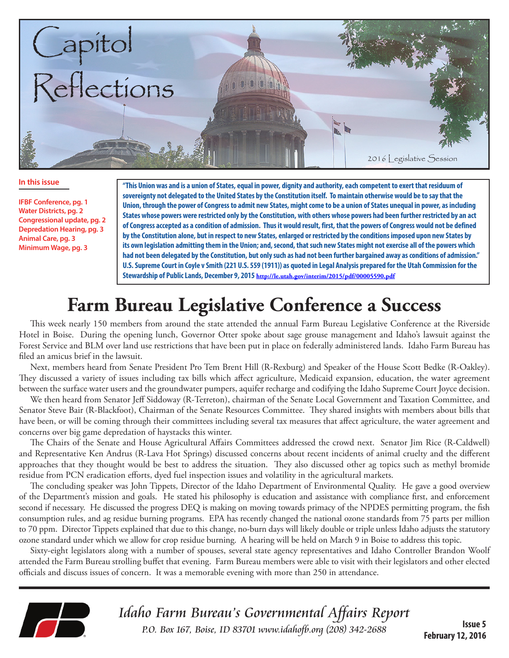

#### **In this issue**

**IFBF Conference, pg. 1 Water Districts, pg. 2 Congressional update, pg. 2 Depredation Hearing, pg. 3 Animal Care, pg. 3 Minimum Wage, pg. 3**

**"This Union was and is a union of States, equal in power, dignity and authority, each competent to exert that residuum of sovereignty not delegated to the United States by the Constitution itself. To maintain otherwise would be to say that the Union, through the power of Congress to admit new States, might come to be a union of States unequal in power, as including States whose powers were restricted only by the Constitution, with others whose powers had been further restricted by an act of Congress accepted as a condition of admission. Thus it would result, first, that the powers of Congress would not be defined by the Constitution alone, but in respect to new States, enlarged or restricted by the conditions imposed upon new States by its own legislation admitting them in the Union; and, second, that such new States might not exercise all of the powers which had not been delegated by the Constitution, but only such as had not been further bargained away as conditions of admission." U.S. Supreme Court in Coyle v Smith (221 U.S. 559 (1911)) as quoted in Legal Analysis prepared for the Utah Commission for the Stewardship of Public Lands, December 9, 2015 http://le.utah.gov/interim/2015/pdf/00005590.pdf**

# **Farm Bureau Legislative Conference a Success**

This week nearly 150 members from around the state attended the annual Farm Bureau Legislative Conference at the Riverside Hotel in Boise. During the opening lunch, Governor Otter spoke about sage grouse management and Idaho's lawsuit against the Forest Service and BLM over land use restrictions that have been put in place on federally administered lands. Idaho Farm Bureau has filed an amicus brief in the lawsuit.

Next, members heard from Senate President Pro Tem Brent Hill (R-Rexburg) and Speaker of the House Scott Bedke (R-Oakley). They discussed a variety of issues including tax bills which affect agriculture, Medicaid expansion, education, the water agreement between the surface water users and the groundwater pumpers, aquifer recharge and codifying the Idaho Supreme Court Joyce decision.

We then heard from Senator Jeff Siddoway (R-Terreton), chairman of the Senate Local Government and Taxation Committee, and Senator Steve Bair (R-Blackfoot), Chairman of the Senate Resources Committee. They shared insights with members about bills that have been, or will be coming through their committees including several tax measures that affect agriculture, the water agreement and concerns over big game depredation of haystacks this winter.

The Chairs of the Senate and House Agricultural Affairs Committees addressed the crowd next. Senator Jim Rice (R-Caldwell) and Representative Ken Andrus (R-Lava Hot Springs) discussed concerns about recent incidents of animal cruelty and the different approaches that they thought would be best to address the situation. They also discussed other ag topics such as methyl bromide residue from PCN eradication efforts, dyed fuel inspection issues and volatility in the agricultural markets.

The concluding speaker was John Tippets, Director of the Idaho Department of Environmental Quality. He gave a good overview of the Department's mission and goals. He stated his philosophy is education and assistance with compliance first, and enforcement second if necessary. He discussed the progress DEQ is making on moving towards primacy of the NPDES permitting program, the fish consumption rules, and ag residue burning programs. EPA has recently changed the national ozone standards from 75 parts per million to 70 ppm. Director Tippets explained that due to this change, no-burn days will likely double or triple unless Idaho adjusts the statutory ozone standard under which we allow for crop residue burning. A hearing will be held on March 9 in Boise to address this topic.

Sixty-eight legislators along with a number of spouses, several state agency representatives and Idaho Controller Brandon Woolf attended the Farm Bureau strolling buffet that evening. Farm Bureau members were able to visit with their legislators and other elected officials and discuss issues of concern. It was a memorable evening with more than 250 in attendance.



Idaho Farm Bureau's Governmental Affairs Report P.O. Box 167, Boise, ID 83701 www.idahofb.org (208) 342-2688

**Issue 5 February 12, 2016**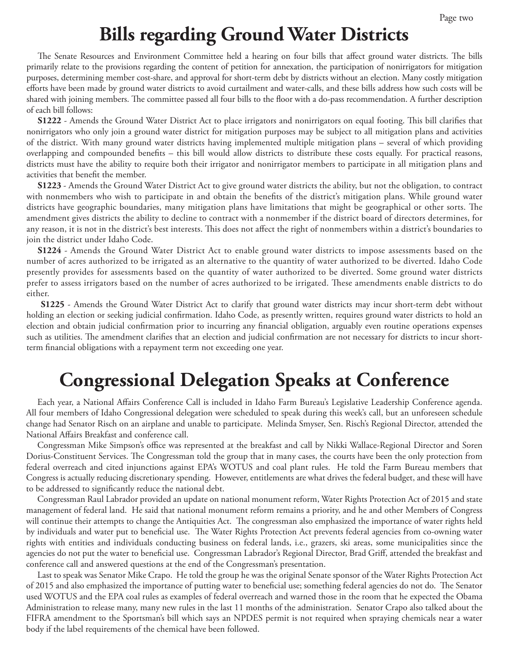#### **Bills regarding Ground Water Districts**

The Senate Resources and Environment Committee held a hearing on four bills that affect ground water districts. The bills primarily relate to the provisions regarding the content of petition for annexation, the participation of nonirrigators for mitigation purposes, determining member cost-share, and approval for short-term debt by districts without an election. Many costly mitigation efforts have been made by ground water districts to avoid curtailment and water-calls, and these bills address how such costs will be shared with joining members. The committee passed all four bills to the floor with a do-pass recommendation. A further description of each bill follows:

**S1222** - Amends the Ground Water District Act to place irrigators and nonirrigators on equal footing. This bill clarifies that nonirrigators who only join a ground water district for mitigation purposes may be subject to all mitigation plans and activities of the district. With many ground water districts having implemented multiple mitigation plans – several of which providing overlapping and compounded benefits – this bill would allow districts to distribute these costs equally. For practical reasons, districts must have the ability to require both their irrigator and nonirrigator members to participate in all mitigation plans and activities that benefit the member.

**S1223** - Amends the Ground Water District Act to give ground water districts the ability, but not the obligation, to contract with nonmembers who wish to participate in and obtain the benefits of the district's mitigation plans. While ground water districts have geographic boundaries, many mitigation plans have limitations that might be geographical or other sorts. The amendment gives districts the ability to decline to contract with a nonmember if the district board of directors determines, for any reason, it is not in the district's best interests. This does not affect the right of nonmembers within a district's boundaries to join the district under Idaho Code.

**S1224** - Amends the Ground Water District Act to enable ground water districts to impose assessments based on the number of acres authorized to be irrigated as an alternative to the quantity of water authorized to be diverted. Idaho Code presently provides for assessments based on the quantity of water authorized to be diverted. Some ground water districts prefer to assess irrigators based on the number of acres authorized to be irrigated. These amendments enable districts to do either.

**S1225** - Amends the Ground Water District Act to clarify that ground water districts may incur short-term debt without holding an election or seeking judicial confirmation. Idaho Code, as presently written, requires ground water districts to hold an election and obtain judicial confirmation prior to incurring any financial obligation, arguably even routine operations expenses such as utilities. The amendment clarifies that an election and judicial confirmation are not necessary for districts to incur shortterm financial obligations with a repayment term not exceeding one year.

# **Congressional Delegation Speaks at Conference**

Each year, a National Affairs Conference Call is included in Idaho Farm Bureau's Legislative Leadership Conference agenda. All four members of Idaho Congressional delegation were scheduled to speak during this week's call, but an unforeseen schedule change had Senator Risch on an airplane and unable to participate. Melinda Smyser, Sen. Risch's Regional Director, attended the National Affairs Breakfast and conference call.

Congressman Mike Simpson's office was represented at the breakfast and call by Nikki Wallace-Regional Director and Soren Dorius-Constituent Services. The Congressman told the group that in many cases, the courts have been the only protection from federal overreach and cited injunctions against EPA's WOTUS and coal plant rules. He told the Farm Bureau members that Congress is actually reducing discretionary spending. However, entitlements are what drives the federal budget, and these will have to be addressed to significantly reduce the national debt.

Congressman Raul Labrador provided an update on national monument reform, Water Rights Protection Act of 2015 and state management of federal land. He said that national monument reform remains a priority, and he and other Members of Congress will continue their attempts to change the Antiquities Act. The congressman also emphasized the importance of water rights held by individuals and water put to beneficial use. The Water Rights Protection Act prevents federal agencies from co-owning water rights with entities and individuals conducting business on federal lands, i.e., grazers, ski areas, some municipalities since the agencies do not put the water to beneficial use. Congressman Labrador's Regional Director, Brad Griff, attended the breakfast and conference call and answered questions at the end of the Congressman's presentation.

Last to speak was Senator Mike Crapo. He told the group he was the original Senate sponsor of the Water Rights Protection Act of 2015 and also emphasized the importance of putting water to beneficial use; something federal agencies do not do. The Senator used WOTUS and the EPA coal rules as examples of federal overreach and warned those in the room that he expected the Obama Administration to release many, many new rules in the last 11 months of the administration. Senator Crapo also talked about the FIFRA amendment to the Sportsman's bill which says an NPDES permit is not required when spraying chemicals near a water body if the label requirements of the chemical have been followed.